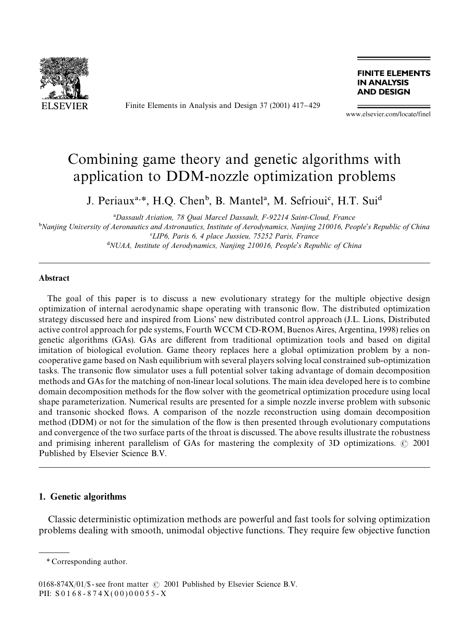

Finite Elements in Analysis and Design 37 (2001) 417-429

**FINITE ELEMENTS IN ANALYSIS AND DESIGN** 

www.elsevier.com/locate/finel

## Combining game theory and genetic algorithms with application to DDM-nozzle optimization problems

J. Periaux<sup>a,\*</sup>, H.Q. Chen<sup>b</sup>, B. Mantel<sup>a</sup>, M. Sefrioui<sup>c</sup>, H.T. Sui<sup>d</sup>

*Dassault Aviation, 78 Quai Marcel Dassault, F-92214 Saint-Cloud, France*

-*Nanjing Universityof Aeronautics and Astronautics, Institute of Aerodynamics, Nanjing 210016, People*'*s Republic of China LIP6, Paris 6, 4 place Jussieu, 75252 Paris, France NUAA, Institute of Aerodynamics, Nanjing 210016, People*'*s Republic of China*

## Abstract

The goal of this paper is to discuss a new evolutionary strategy for the multiple objective design optimization of internal aerodynamic shape operating with transonic #ow. The distributed optimization strategy discussed here and inspired from Lions' new distributed control approach (J.L. Lions, Distributed active control approach for pde systems, Fourth WCCM CD-ROM, Buenos Aires, Argentina, 1998) relies on genetic algorithms (GAs). GAs are different from traditional optimization tools and based on digital imitation of biological evolution. Game theory replaces here a global optimization problem by a noncooperative game based on Nash equilibrium with several players solving local constrained sub-optimization tasks. The transonic flow simulator uses a full potential solver taking advantage of domain decomposition methods and GAs for the matching of non-linear local solutions. The main idea developed here is to combine domain decomposition methods for the #ow solver with the geometrical optimization procedure using local shape parameterization. Numerical results are presented for a simple nozzle inverse problem with subsonic and transonic shocked flows. A comparison of the nozzle reconstruction using domain decomposition method (DDM) or not for the simulation of the flow is then presented through evolutionary computations and convergence of the two surface parts of the throat is discussed. The above results illustrate the robustness and primising inherent parallelism of GAs for mastering the complexity of 3D optimizations.  $\odot$  2001 Published by Elsevier Science B.V.

#### 1. Genetic algorithms

Classic deterministic optimization methods are powerful and fast tools for solving optimization problems dealing with smooth, unimodal objective functions. They require few objective function

*<sup>\*</sup>* Corresponding author.

<sup>0168-874</sup>X/01/\$ - see front matter  $\odot$  2001 Published by Elsevier Science B.V. PII:  $S 0 1 6 8 - 8 7 4 X (0 0) 0 0 0 5 5 - X$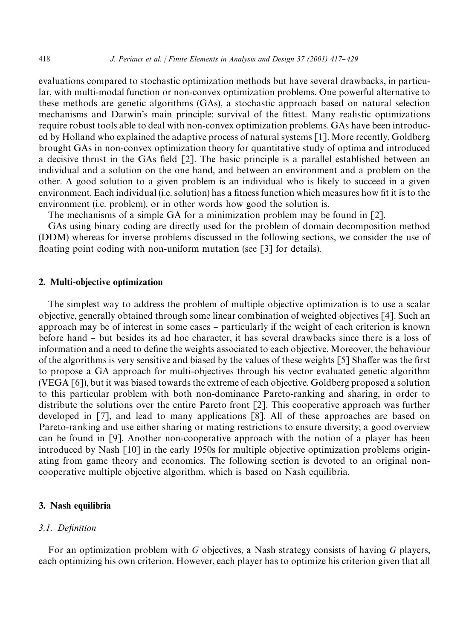evaluations compared to stochastic optimization methods but have several drawbacks, in particular, with multi-modal function or non-convex optimization problems. One powerful alternative to these methods are genetic algorithms (GAs), a stochastic approach based on natural selection mechanisms and Darwin's main principle: survival of the fittest. Many realistic optimizations require robust tools able to deal with non-convex optimization problems. GAs have been introduced by Holland who explained the adaptive process of natural systems [1]. More recently, Goldberg brought GAs in non-convex optimization theory for quantitative study of optima and introduced a decisive thrust in the GAs field [2]. The basic principle is a parallel established between an individual and a solution on the one hand, and between an environment and a problem on the other. A good solution to a given problem is an individual who is likely to succeed in a given environment. Each individual (i.e. solution) has a fitness function which measures how fit it is to the environment (i.e. problem), or in other words how good the solution is.

The mechanisms of a simple GA for a minimization problem may be found in [2].

GAs using binary coding are directly used for the problem of domain decomposition method (DDM) whereas for inverse problems discussed in the following sections, we consider the use of floating point coding with non-uniform mutation (see  $\lceil 3 \rceil$  for details).

## 2. Multi-objective optimization

The simplest way to address the problem of multiple objective optimization is to use a scalar objective, generally obtained through some linear combination of weighted objectives [4]. Such an approach may be of interest in some cases – particularly if the weight of each criterion is known before hand } but besides its ad hoc character, it has several drawbacks since there is a loss of information and a need to define the weights associated to each objective. Moreover, the behaviour of the algorithms is very sensitive and biased by the values of these weights  $[5]$  Shaffer was the first to propose a GA approach for multi-objectives through his vector evaluated genetic algorithm (VEGA [6]), but it was biased towards the extreme of each objective. Goldberg proposed a solution to this particular problem with both non-dominance Pareto-ranking and sharing, in order to distribute the solutions over the entire Pareto front [2]. This cooperative approach was further developed in [7], and lead to many applications [8]. All of these approaches are based on Pareto-ranking and use either sharing or mating restrictions to ensure diversity; a good overview can be found in [9]. Another non-cooperative approach with the notion of a player has been introduced by Nash [10] in the early 1950s for multiple objective optimization problems originating from game theory and economics. The following section is devoted to an original noncooperative multiple objective algorithm, which is based on Nash equilibria.

#### 3. Nash equilibria

### 3.1. Definition

For an optimization problem with *G* objectives, a Nash strategy consists of having *G* players, each optimizing his own criterion. However, each player has to optimize his criterion given that all